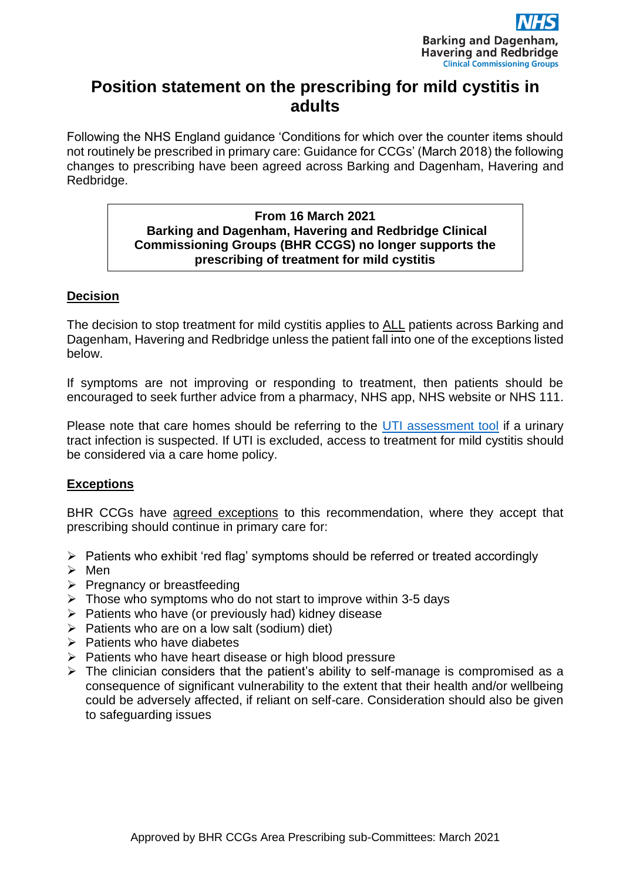

# **Position statement on the prescribing for mild cystitis in adults**

Following the NHS England guidance 'Conditions for which over the counter items should not routinely be prescribed in primary care: Guidance for CCGs' (March 2018) the following changes to prescribing have been agreed across Barking and Dagenham, Havering and Redbridge.

#### **From 16 March 2021 Barking and Dagenham, Havering and Redbridge Clinical Commissioning Groups (BHR CCGS) no longer supports the prescribing of treatment for mild cystitis**

## **Decision**

The decision to stop treatment for mild cystitis applies to ALL patients across Barking and Dagenham, Havering and Redbridge unless the patient fall into one of the exceptions listed below.

If symptoms are not improving or responding to treatment, then patients should be encouraged to seek further advice from a pharmacy, NHS app, NHS website or NHS 111.

Please note that care homes should be referring to the [UTI assessment tool](http://gp.barkingdagenhamccg.nhs.uk/BHR/downloads/MM/Prescribing-guidance/Antibiotic-antimicro/UTI_assessment_tool_CareHomes.pdf) if a urinary tract infection is suspected. If UTI is excluded, access to treatment for mild cystitis should be considered via a care home policy.

# **Exceptions**

BHR CCGs have agreed exceptions to this recommendation, where they accept that prescribing should continue in primary care for:

- ➢ Patients who exhibit 'red flag' symptoms should be referred or treated accordingly
- ➢ Men
- $\triangleright$  Pregnancy or breastfeeding
- $\triangleright$  Those who symptoms who do not start to improve within 3-5 days
- ➢ Patients who have (or previously had) kidney disease
- $\triangleright$  Patients who are on a low salt (sodium) diet)
- $\triangleright$  Patients who have diabetes
- ➢ Patients who have heart disease or high blood pressure
- $\triangleright$  The clinician considers that the patient's ability to self-manage is compromised as a consequence of significant vulnerability to the extent that their health and/or wellbeing could be adversely affected, if reliant on self-care. Consideration should also be given to safeguarding issues